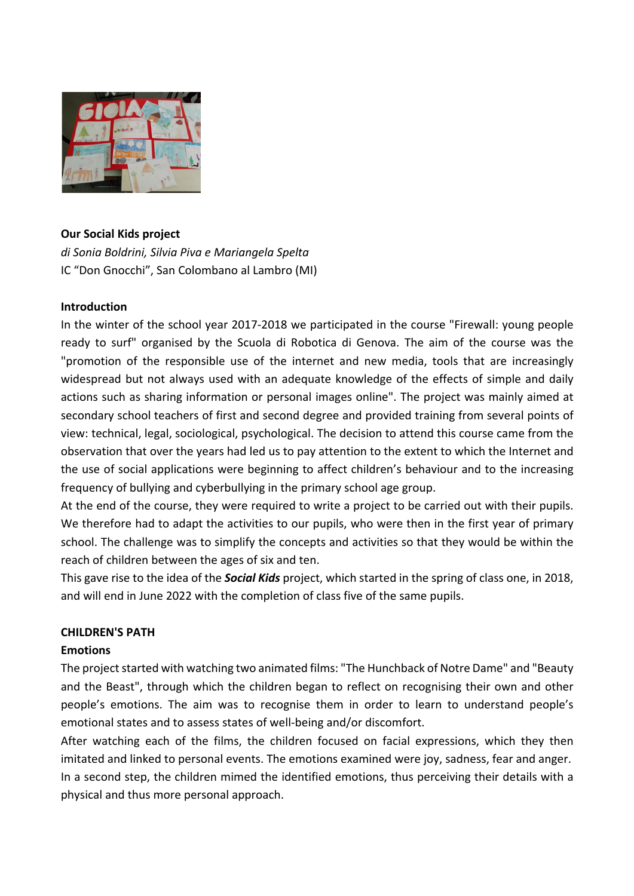

# **Our Social Kids project**

*di Sonia Boldrini, Silvia Piva e Mariangela Spelta* IC "Don Gnocchi", San Colombano al Lambro (MI)

# **Introduction**

In the winter of the school year 2017-2018 we participated in the course "Firewall: young people ready to surf" organised by the Scuola di Robotica di Genova. The aim of the course was the "promotion of the responsible use of the internet and new media, tools that are increasingly widespread but not always used with an adequate knowledge of the effects of simple and daily actions such as sharing information or personal images online". The project was mainly aimed at secondary school teachers of first and second degree and provided training from several points of view: technical, legal, sociological, psychological. The decision to attend this course came from the observation that over the years had led us to pay attention to the extent to which the Internet and the use of social applications were beginning to affect children's behaviour and to the increasing frequency of bullying and cyberbullying in the primary school age group.

At the end of the course, they were required to write a project to be carried out with their pupils. We therefore had to adapt the activities to our pupils, who were then in the first year of primary school. The challenge was to simplify the concepts and activities so that they would be within the reach of children between the ages of six and ten.

This gave rise to the idea of the *Social Kids* project, which started in the spring of class one, in 2018, and will end in June 2022 with the completion of class five of the same pupils.

# **CHILDREN'S PATH**

# **Emotions**

The project started with watching two animated films: "The Hunchback of Notre Dame" and "Beauty and the Beast", through which the children began to reflect on recognising their own and other people's emotions. The aim was to recognise them in order to learn to understand people's emotional states and to assess states of well-being and/or discomfort.

After watching each of the films, the children focused on facial expressions, which they then imitated and linked to personal events. The emotions examined were joy, sadness, fear and anger. In a second step, the children mimed the identified emotions, thus perceiving their details with a physical and thus more personal approach.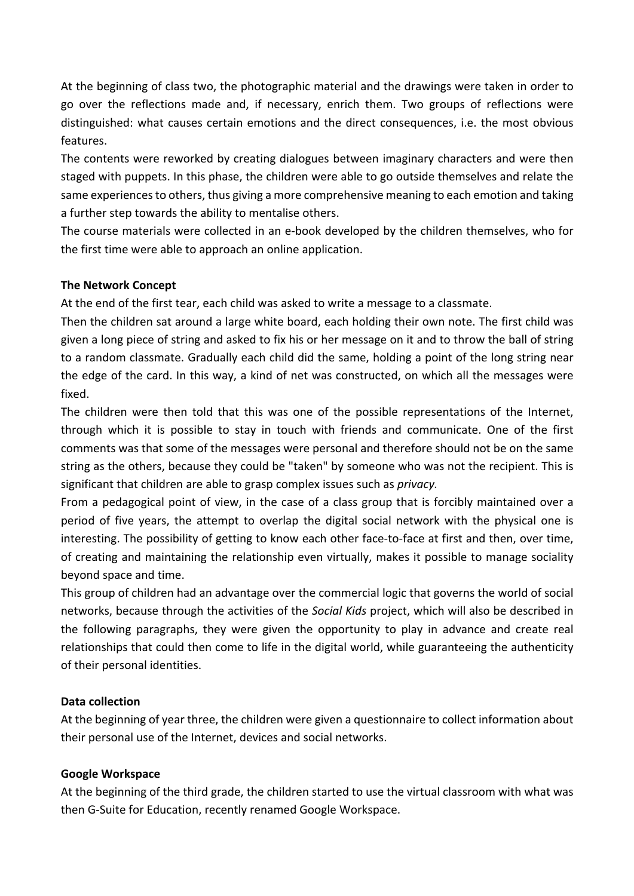At the beginning of class two, the photographic material and the drawings were taken in order to go over the reflections made and, if necessary, enrich them. Two groups of reflections were distinguished: what causes certain emotions and the direct consequences, i.e. the most obvious features.

The contents were reworked by creating dialogues between imaginary characters and were then staged with puppets. In this phase, the children were able to go outside themselves and relate the same experiences to others, thus giving a more comprehensive meaning to each emotion and taking a further step towards the ability to mentalise others.

The course materials were collected in an e-book developed by the children themselves, who for the first time were able to approach an online application.

## **The Network Concept**

At the end of the first tear, each child was asked to write a message to a classmate.

Then the children sat around a large white board, each holding their own note. The first child was given a long piece of string and asked to fix his or her message on it and to throw the ball of string to a random classmate. Gradually each child did the same, holding a point of the long string near the edge of the card. In this way, a kind of net was constructed, on which all the messages were fixed.

The children were then told that this was one of the possible representations of the Internet, through which it is possible to stay in touch with friends and communicate. One of the first comments was that some of the messages were personal and therefore should not be on the same string as the others, because they could be "taken" by someone who was not the recipient. This is significant that children are able to grasp complex issues such as *privacy.*

From a pedagogical point of view, in the case of a class group that is forcibly maintained over a period of five years, the attempt to overlap the digital social network with the physical one is interesting. The possibility of getting to know each other face-to-face at first and then, over time, of creating and maintaining the relationship even virtually, makes it possible to manage sociality beyond space and time.

This group of children had an advantage over the commercial logic that governs the world of social networks, because through the activities of the *Social Kids* project, which will also be described in the following paragraphs, they were given the opportunity to play in advance and create real relationships that could then come to life in the digital world, while guaranteeing the authenticity of their personal identities.

#### **Data collection**

At the beginning of year three, the children were given a questionnaire to collect information about their personal use of the Internet, devices and social networks.

#### **Google Workspace**

At the beginning of the third grade, the children started to use the virtual classroom with what was then G-Suite for Education, recently renamed Google Workspace.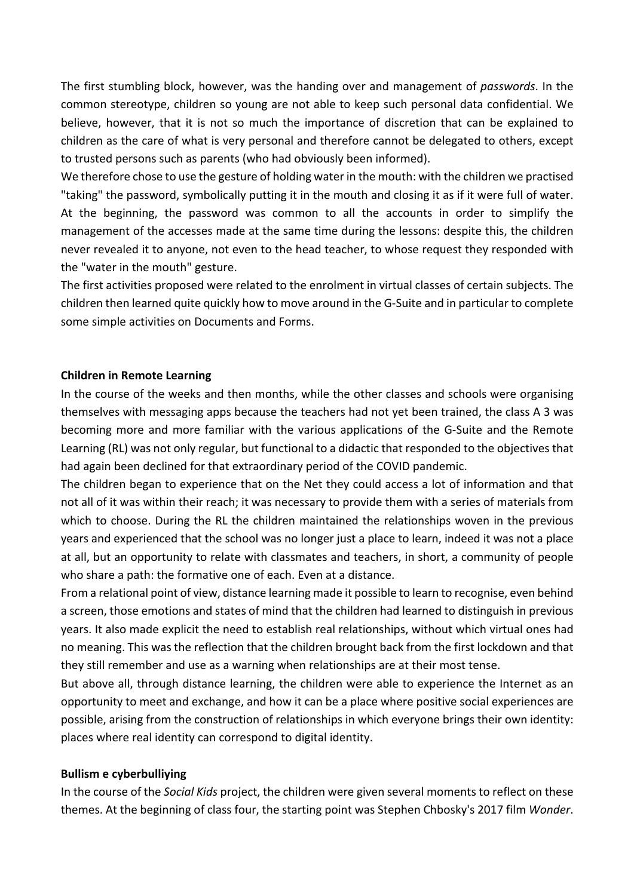The first stumbling block, however, was the handing over and management of *passwords*. In the common stereotype, children so young are not able to keep such personal data confidential. We believe, however, that it is not so much the importance of discretion that can be explained to children as the care of what is very personal and therefore cannot be delegated to others, except to trusted persons such as parents (who had obviously been informed).

We therefore chose to use the gesture of holding water in the mouth: with the children we practised "taking" the password, symbolically putting it in the mouth and closing it as if it were full of water. At the beginning, the password was common to all the accounts in order to simplify the management of the accesses made at the same time during the lessons: despite this, the children never revealed it to anyone, not even to the head teacher, to whose request they responded with the "water in the mouth" gesture.

The first activities proposed were related to the enrolment in virtual classes of certain subjects. The children then learned quite quickly how to move around in the G-Suite and in particular to complete some simple activities on Documents and Forms.

#### **Children in Remote Learning**

In the course of the weeks and then months, while the other classes and schools were organising themselves with messaging apps because the teachers had not yet been trained, the class A 3 was becoming more and more familiar with the various applications of the G-Suite and the Remote Learning (RL) was not only regular, but functional to a didactic that responded to the objectives that had again been declined for that extraordinary period of the COVID pandemic.

The children began to experience that on the Net they could access a lot of information and that not all of it was within their reach; it was necessary to provide them with a series of materials from which to choose. During the RL the children maintained the relationships woven in the previous years and experienced that the school was no longer just a place to learn, indeed it was not a place at all, but an opportunity to relate with classmates and teachers, in short, a community of people who share a path: the formative one of each. Even at a distance.

From a relational point of view, distance learning made it possible to learn to recognise, even behind a screen, those emotions and states of mind that the children had learned to distinguish in previous years. It also made explicit the need to establish real relationships, without which virtual ones had no meaning. This was the reflection that the children brought back from the first lockdown and that they still remember and use as a warning when relationships are at their most tense.

But above all, through distance learning, the children were able to experience the Internet as an opportunity to meet and exchange, and how it can be a place where positive social experiences are possible, arising from the construction of relationships in which everyone brings their own identity: places where real identity can correspond to digital identity.

#### **Bullism e cyberbulliying**

In the course of the *Social Kids* project, the children were given several moments to reflect on these themes. At the beginning of class four, the starting point was Stephen Chbosky's 2017 film *Wonder*.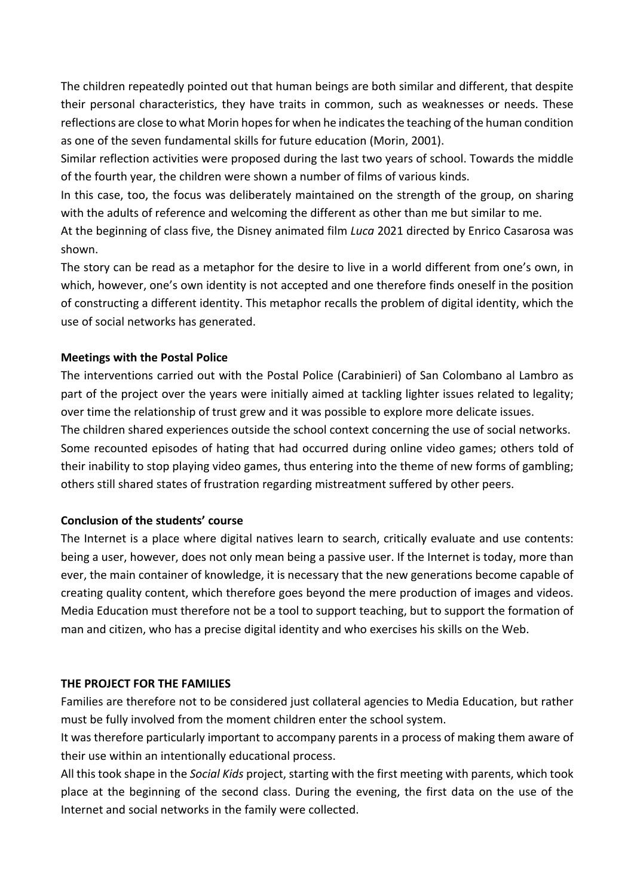The children repeatedly pointed out that human beings are both similar and different, that despite their personal characteristics, they have traits in common, such as weaknesses or needs. These reflections are close to what Morin hopes for when he indicates the teaching of the human condition as one of the seven fundamental skills for future education (Morin, 2001).

Similar reflection activities were proposed during the last two years of school. Towards the middle of the fourth year, the children were shown a number of films of various kinds.

In this case, too, the focus was deliberately maintained on the strength of the group, on sharing with the adults of reference and welcoming the different as other than me but similar to me.

At the beginning of class five, the Disney animated film *Luca* 2021 directed by Enrico Casarosa was shown.

The story can be read as a metaphor for the desire to live in a world different from one's own, in which, however, one's own identity is not accepted and one therefore finds oneself in the position of constructing a different identity. This metaphor recalls the problem of digital identity, which the use of social networks has generated.

## **Meetings with the Postal Police**

The interventions carried out with the Postal Police (Carabinieri) of San Colombano al Lambro as part of the project over the years were initially aimed at tackling lighter issues related to legality; over time the relationship of trust grew and it was possible to explore more delicate issues. The children shared experiences outside the school context concerning the use of social networks. Some recounted episodes of hating that had occurred during online video games; others told of their inability to stop playing video games, thus entering into the theme of new forms of gambling; others still shared states of frustration regarding mistreatment suffered by other peers.

#### **Conclusion of the students' course**

The Internet is a place where digital natives learn to search, critically evaluate and use contents: being a user, however, does not only mean being a passive user. If the Internet is today, more than ever, the main container of knowledge, it is necessary that the new generations become capable of creating quality content, which therefore goes beyond the mere production of images and videos. Media Education must therefore not be a tool to support teaching, but to support the formation of man and citizen, who has a precise digital identity and who exercises his skills on the Web.

#### **THE PROJECT FOR THE FAMILIES**

Families are therefore not to be considered just collateral agencies to Media Education, but rather must be fully involved from the moment children enter the school system.

It was therefore particularly important to accompany parents in a process of making them aware of their use within an intentionally educational process.

All this took shape in the *Social Kids* project, starting with the first meeting with parents, which took place at the beginning of the second class. During the evening, the first data on the use of the Internet and social networks in the family were collected.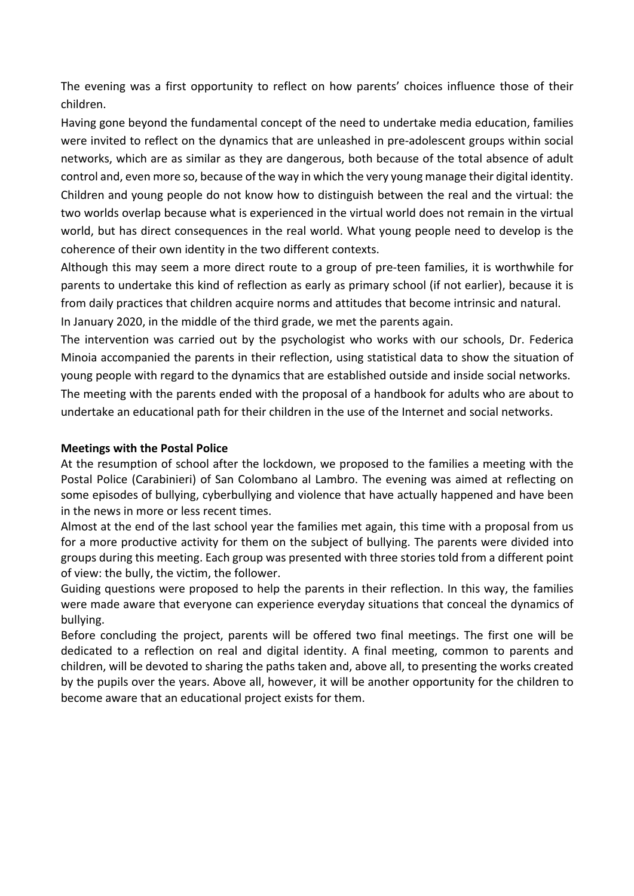The evening was a first opportunity to reflect on how parents' choices influence those of their children.

Having gone beyond the fundamental concept of the need to undertake media education, families were invited to reflect on the dynamics that are unleashed in pre-adolescent groups within social networks, which are as similar as they are dangerous, both because of the total absence of adult control and, even more so, because of the way in which the very young manage their digital identity. Children and young people do not know how to distinguish between the real and the virtual: the two worlds overlap because what is experienced in the virtual world does not remain in the virtual world, but has direct consequences in the real world. What young people need to develop is the coherence of their own identity in the two different contexts.

Although this may seem a more direct route to a group of pre-teen families, it is worthwhile for parents to undertake this kind of reflection as early as primary school (if not earlier), because it is from daily practices that children acquire norms and attitudes that become intrinsic and natural. In January 2020, in the middle of the third grade, we met the parents again.

The intervention was carried out by the psychologist who works with our schools, Dr. Federica Minoia accompanied the parents in their reflection, using statistical data to show the situation of young people with regard to the dynamics that are established outside and inside social networks. The meeting with the parents ended with the proposal of a handbook for adults who are about to undertake an educational path for their children in the use of the Internet and social networks.

#### **Meetings with the Postal Police**

At the resumption of school after the lockdown, we proposed to the families a meeting with the Postal Police (Carabinieri) of San Colombano al Lambro. The evening was aimed at reflecting on some episodes of bullying, cyberbullying and violence that have actually happened and have been in the news in more or less recent times.

Almost at the end of the last school year the families met again, this time with a proposal from us for a more productive activity for them on the subject of bullying. The parents were divided into groups during this meeting. Each group was presented with three stories told from a different point of view: the bully, the victim, the follower.

Guiding questions were proposed to help the parents in their reflection. In this way, the families were made aware that everyone can experience everyday situations that conceal the dynamics of bullying.

Before concluding the project, parents will be offered two final meetings. The first one will be dedicated to a reflection on real and digital identity. A final meeting, common to parents and children, will be devoted to sharing the paths taken and, above all, to presenting the works created by the pupils over the years. Above all, however, it will be another opportunity for the children to become aware that an educational project exists for them.